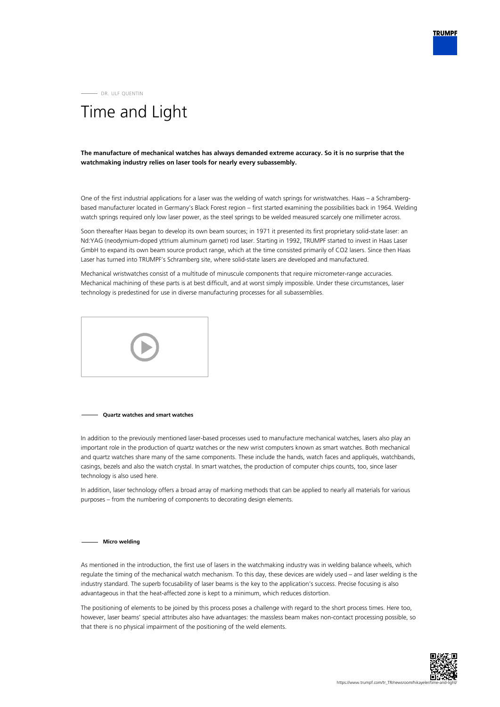DR. ULF QUENTIN

# Time and Light

**The manufacture of mechanical watches has always demanded extreme accuracy. So it is no surprise that the watchmaking industry relies on laser tools for nearly every subassembly.**

One of the first industrial applications for a laser was the welding of watch springs for wristwatches. Haas – a Schrambergbased manufacturer located in Germany's Black Forest region – first started examining the possibilities back in 1964. Welding watch springs required only low laser power, as the steel springs to be welded measured scarcely one millimeter across.

Soon thereafter Haas began to develop its own beam sources; in 1971 it presented its first proprietary solid-state laser: an Nd:YAG (neodymium-doped yttrium aluminum garnet) rod laser. Starting in 1992, TRUMPF started to invest in Haas Laser GmbH to expand its own beam source product range, which at the time consisted primarily of CO2 lasers. Since then Haas Laser has turned into TRUMPF's Schramberg site, where solid-state lasers are developed and manufactured.

Mechanical wristwatches consist of a multitude of minuscule components that require micrometer-range accuracies. Mechanical machining of these parts is at best difficult, and at worst simply impossible. Under these circumstances, laser technology is predestined for use in diverse manufacturing processes for all subassemblies.



### **Quartz watches and smart watches**

In addition to the previously mentioned laser-based processes used to manufacture mechanical watches, lasers also play an important role in the production of quartz watches or the new wrist computers known as smart watches. Both mechanical and quartz watches share many of the same components. These include the hands, watch faces and appliqués, watchbands, casings, bezels and also the watch crystal. In smart watches, the production of computer chips counts, too, since laser technology is also used here.

In addition, laser technology offers a broad array of marking methods that can be applied to nearly all materials for various purposes – from the numbering of components to decorating design elements.

### **Micro welding**

As mentioned in the introduction, the first use of lasers in the watchmaking industry was in welding balance wheels, which regulate the timing of the mechanical watch mechanism. To this day, these devices are widely used – and laser welding is the industry standard. The superb focusability of laser beams is the key to the application's success. Precise focusing is also advantageous in that the heat-affected zone is kept to a minimum, which reduces distortion.

The positioning of elements to be joined by this process poses a challenge with regard to the short process times. Here too, however, laser beams' special attributes also have advantages: the massless beam makes non-contact processing possible, so that there is no physical impairment of the positioning of the weld elements.

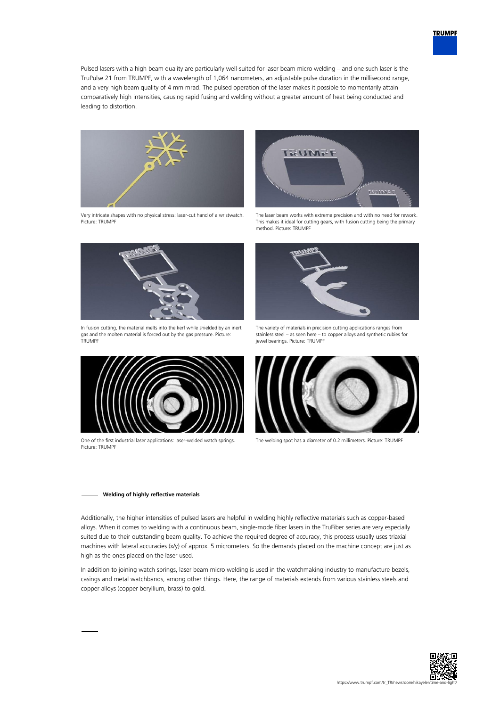

Pulsed lasers with a high beam quality are particularly well-suited for laser beam micro welding – and one such laser is the TruPulse 21 from TRUMPF, with a wavelength of 1,064 nanometers, an adjustable pulse duration in the millisecond range, and a very high beam quality of 4 mm mrad. The pulsed operation of the laser makes it possible to momentarily attain comparatively high intensities, causing rapid fusing and welding without a greater amount of heat being conducted and leading to distortion.



Very intricate shapes with no physical stress: laser-cut hand of a wristwatch. Picture: TRUMPF



In fusion cutting, the material melts into the kerf while shielded by an inert gas and the molten material is forced out by the gas pressure. Picture: TRUMPF



One of the first industrial laser applications: laser-welded watch springs. Picture: TRUMPF



The laser beam works with extreme precision and with no need for rework. This makes it ideal for cutting gears, with fusion cutting being the primary method. Picture: TRUMPF



The variety of materials in precision cutting applications ranges from stainless steel – as seen here – to copper alloys and synthetic rubies for jewel bearings. Picture: TRUMPF



The welding spot has a diameter of 0.2 millimeters. Picture: TRUMPF

### **Welding of highly reflective materials**

Additionally, the higher intensities of pulsed lasers are helpful in welding highly reflective materials such as copper-based alloys. When it comes to welding with a continuous beam, single-mode fiber lasers in the TruFiber series are very especially suited due to their outstanding beam quality. To achieve the required degree of accuracy, this process usually uses triaxial machines with lateral accuracies (x/y) of approx. 5 micrometers. So the demands placed on the machine concept are just as high as the ones placed on the laser used.

In addition to joining watch springs, laser beam micro welding is used in the watchmaking industry to manufacture bezels, casings and metal watchbands, among other things. Here, the range of materials extends from various stainless steels and copper alloys (copper beryllium, brass) to gold.

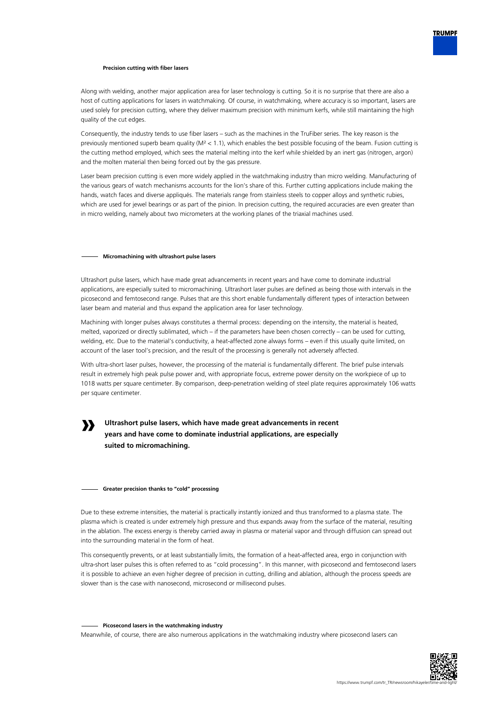

### **Precision cutting with fiber lasers**

Along with welding, another major application area for laser technology is cutting. So it is no surprise that there are also a host of cutting applications for lasers in watchmaking. Of course, in watchmaking, where accuracy is so important, lasers are used solely for precision cutting, where they deliver maximum precision with minimum kerfs, while still maintaining the high quality of the cut edges.

Consequently, the industry tends to use fiber lasers – such as the machines in the TruFiber series. The key reason is the previously mentioned superb beam quality (M² < 1.1), which enables the best possible focusing of the beam. Fusion cutting is the cutting method employed, which sees the material melting into the kerf while shielded by an inert gas (nitrogen, argon) and the molten material then being forced out by the gas pressure.

Laser beam precision cutting is even more widely applied in the watchmaking industry than micro welding. Manufacturing of the various gears of watch mechanisms accounts for the lion's share of this. Further cutting applications include making the hands, watch faces and diverse appliqués. The materials range from stainless steels to copper alloys and synthetic rubies, which are used for jewel bearings or as part of the pinion. In precision cutting, the required accuracies are even greater than in micro welding, namely about two micrometers at the working planes of the triaxial machines used.

### **Micromachining with ultrashort pulse lasers**

Ultrashort pulse lasers, which have made great advancements in recent years and have come to dominate industrial applications, are especially suited to micromachining. Ultrashort laser pulses are defined as being those with intervals in the picosecond and femtosecond range. Pulses that are this short enable fundamentally different types of interaction between laser beam and material and thus expand the application area for laser technology.

Machining with longer pulses always constitutes a thermal process: depending on the intensity, the material is heated, melted, vaporized or directly sublimated, which – if the parameters have been chosen correctly – can be used for cutting, welding, etc. Due to the material's conductivity, a heat-affected zone always forms – even if this usually quite limited, on account of the laser tool's precision, and the result of the processing is generally not adversely affected.

With ultra-short laser pulses, however, the processing of the material is fundamentally different. The brief pulse intervals result in extremely high peak pulse power and, with appropriate focus, extreme power density on the workpiece of up to 1018 watts per square centimeter. By comparison, deep-penetration welding of steel plate requires approximately 106 watts per square centimeter.

## **»**

### **Ultrashort pulse lasers, which have made great advancements in recent years and have come to dominate industrial applications, are especially suited to micromachining.**

#### **Greater precision thanks to "cold" processing**

Due to these extreme intensities, the material is practically instantly ionized and thus transformed to a plasma state. The plasma which is created is under extremely high pressure and thus expands away from the surface of the material, resulting in the ablation. The excess energy is thereby carried away in plasma or material vapor and through diffusion can spread out into the surrounding material in the form of heat.

This consequently prevents, or at least substantially limits, the formation of a heat-affected area, ergo in conjunction with ultra-short laser pulses this is often referred to as "cold processing". In this manner, with picosecond and femtosecond lasers it is possible to achieve an even higher degree of precision in cutting, drilling and ablation, although the process speeds are slower than is the case with nanosecond, microsecond or millisecond pulses.

### **Picosecond lasers in the watchmaking industry**

Meanwhile, of course, there are also numerous applications in the watchmaking industry where picosecond lasers can

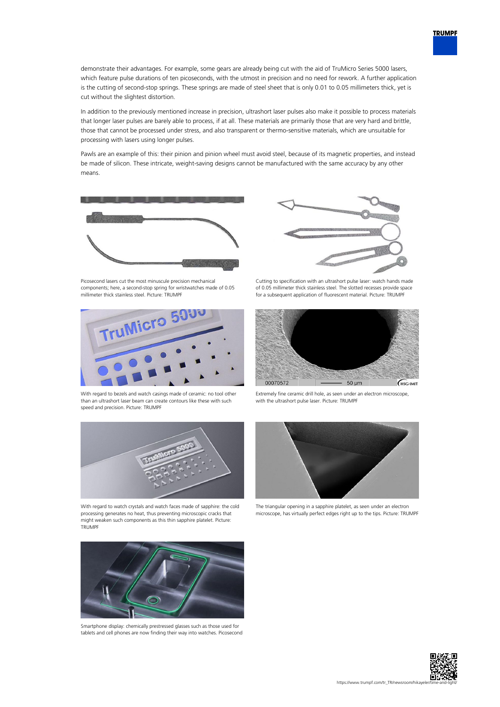demonstrate their advantages. For example, some gears are already being cut with the aid of TruMicro Series 5000 lasers, which feature pulse durations of ten picoseconds, with the utmost in precision and no need for rework. A further application is the cutting of second-stop springs. These springs are made of steel sheet that is only 0.01 to 0.05 millimeters thick, yet is cut without the slightest distortion.

In addition to the previously mentioned increase in precision, ultrashort laser pulses also make it possible to process materials that longer laser pulses are barely able to process, if at all. These materials are primarily those that are very hard and brittle, those that cannot be processed under stress, and also transparent or thermo-sensitive materials, which are unsuitable for processing with lasers using longer pulses.

Pawls are an example of this: their pinion and pinion wheel must avoid steel, because of its magnetic properties, and instead be made of silicon. These intricate, weight-saving designs cannot be manufactured with the same accuracy by any other means.



Picosecond lasers cut the most minuscule precision mechanical components; here, a second-stop spring for wristwatches made of 0.05 millimeter thick stainless steel. Picture: TRUMPF



With regard to bezels and watch casings made of ceramic: no tool other than an ultrashort laser beam can create contours like these with such speed and precision. Picture: TRUMPF



With regard to watch crystals and watch faces made of sapphire: the cold processing generates no heat, thus preventing microscopic cracks that might weaken such components as this thin sapphire platelet. Picture: TRUMPF



Smartphone display: chemically prestressed glasses such as those used for tablets and cell phones are now finding their way into watches. Picosecond



Cutting to specification with an ultrashort pulse laser: watch hands made of 0.05 millimeter thick stainless steel. The slotted recesses provide space for a subsequent application of fluorescent material. Picture: TRUMPF



Extremely fine ceramic drill hole, as seen under an electron microscope, with the ultrashort pulse laser. Picture: TRUMPF



The triangular opening in a sapphire platelet, as seen under an electron microscope, has virtually perfect edges right up to the tips. Picture: TRUMPF



**TRUMPF**